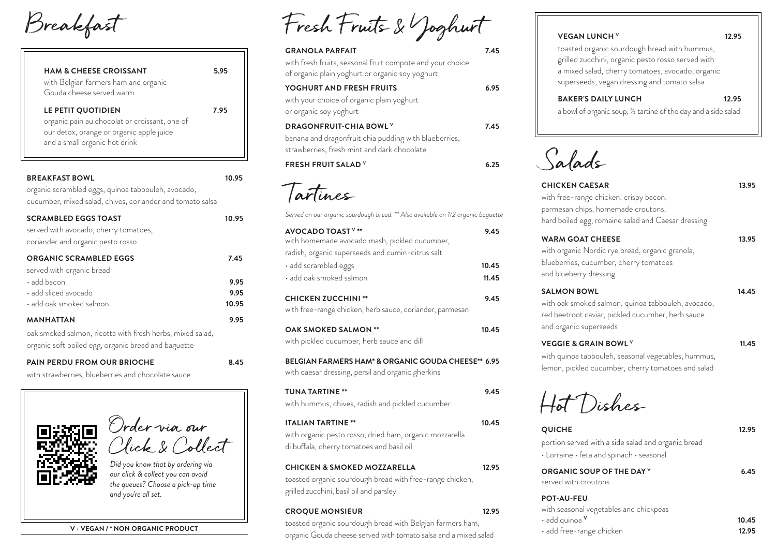Breakfast

| <b>HAM &amp; CHEESE CROISSANT</b><br>with Belgian farmers ham and organic<br>Gouda cheese served warm | 5.95 |
|-------------------------------------------------------------------------------------------------------|------|
|                                                                                                       |      |
| LE PETIT QUOTIDIEN                                                                                    | 7.95 |
| organic pain au chocolat or croissant, one of                                                         |      |
| our detox, orange or organic apple juice                                                              |      |

| <b>BREAKFAST BOWL</b><br>organic scrambled eggs, quinoa tabbouleh, avocado,<br>cucumber, mixed salad, chives, coriander and tomato salsa | 10.95        |
|------------------------------------------------------------------------------------------------------------------------------------------|--------------|
| <b>SCRAMBLED EGGS TOAST</b><br>served with avocado, cherry tomatoes,<br>coriander and organic pesto rosso                                | 10.95        |
| <b>ORGANIC SCRAMBLED EGGS</b><br>served with organic bread                                                                               | 7.45         |
| $\cdot$ add bacon<br>$\cdot$ add sliced avocado                                                                                          | 9.95<br>9.95 |
| $\cdot$ add oak smoked salmon                                                                                                            | 10.95        |
| <b>MANHATTAN</b><br>oak smoked salmon, ricotta with fresh herbs, mixed salad,<br>organic soft boiled egg, organic bread and baguette     | 9.95         |

**PAIN PERDU FROM OUR BRIOCHE 8.45** 

with strawberries, blueberries and chocolate sauce

Order via our Click & Collect

*Did you know that by ordering via our click & collect you can avoid the queues? Choose a pick-up time and you're all set.*

|  | V - VEGAN / * NON ORGANIC PRODUCT |  |  |  |
|--|-----------------------------------|--|--|--|
|--|-----------------------------------|--|--|--|

| Fresh Fruits & Yoghurt |  |
|------------------------|--|
|------------------------|--|

| <b>GRANOLA PARFAIT</b>                                                                                       | 7.45 |
|--------------------------------------------------------------------------------------------------------------|------|
| with fresh fruits, seasonal fruit compote and your choice<br>of organic plain yoghurt or organic soy yoghurt |      |
| YOGHURT AND FRESH FRUITS                                                                                     | 6.95 |
| with your choice of organic plain yoghurt                                                                    |      |
| or organic soy yoghurt                                                                                       |      |
| <b>DRAGONFRUIT-CHIA BOWL Y</b>                                                                               | 7.45 |
| banana and dragonfruit chia pudding with blueberries,<br>strawberries, fresh mint and dark chocolate         |      |
| <b>FRESH FRUIT SALAD V</b>                                                                                   | 25   |

Tartines

| Served on our organic sourdough bread. ** Also available on 1/2 organic baguette                                                              |       |
|-----------------------------------------------------------------------------------------------------------------------------------------------|-------|
| <b>AVOCADO TOAST V **</b><br>with homemade avocado mash, pickled cucumber,<br>radish, organic superseeds and cumin-citrus salt                | 9.45  |
| · add scrambled eggs                                                                                                                          | 10.45 |
| · add oak smoked salmon                                                                                                                       | 11.45 |
| <b>CHICKEN ZUCCHINI**</b><br>with free-range chicken, herb sauce, coriander, parmesan                                                         | 9.45  |
| <b>OAK SMOKED SALMON **</b><br>with pickled cucumber, herb sauce and dill                                                                     | 10.45 |
| <b>BELGIAN FARMERS HAM* &amp; ORGANIC GOUDA CHEESE** 6.95</b><br>with caesar dressing, persil and organic gherkins                            |       |
| <b>TUNA TARTINE **</b><br>with hummus, chives, radish and pickled cucumber                                                                    | 9.45  |
| <b>ITALIAN TARTINE **</b><br>with organic pesto rosso, dried ham, organic mozzarella<br>di buffala, cherry tomatoes and basil oil             | 10.45 |
| <b>CHICKEN &amp; SMOKED MOZZARELLA</b><br>toasted organic sourdough bread with free-range chicken,<br>grilled zucchini, basil oil and parsley | 12.95 |
| <b>CROQUE MONSIEUR</b><br>toasted organic sourdough bread with Belgian farmers ham,                                                           | 12.95 |

organic Gouda cheese served with tomato salsa and a mixed salad

## **VEGAN LUNCH V 12.95**

toasted organic sourdough bread with hummus, grilled zucchini, organic pesto rosso served with a mixed salad, cherry tomatoes, avocado, organic superseeds, vegan dressing and tomato salsa

## **BAKER'S DAILY LUNCH 12.95**

a bowl of organic soup, ½ tartine of the day and a side salad



| <b>CHICKEN CAESAR</b>                              | 13.95 |
|----------------------------------------------------|-------|
| with free-range chicken, crispy bacon,             |       |
| parmesan chips, homemade croutons,                 |       |
| hard boiled egg, romaine salad and Caesar dressing |       |
| <b>WARM GOAT CHEESE</b>                            | 13.95 |
|                                                    |       |

| with organic Nordic rye bread, organic granola, |
|-------------------------------------------------|
| blueberries, cucumber, cherry tomatoes          |
| and blueberry dressing                          |

## **SALMON BOWL 14.45** with oak smoked salmon, quinoa tabbouleh, avocado, red beetroot caviar, pickled cucumber, herb sauce and organic superseeds

## **VEGGIE & GRAIN BOWL V 11.45** with quinoa tabbouleh, seasonal vegetables, hummus, lemon, pickled cucumber, cherry tomatoes and salad

Hot Dishes

| <b>QUICHE</b>                                                                                                    | 12.95 |
|------------------------------------------------------------------------------------------------------------------|-------|
| portion served with a side salad and organic bread<br>$\cdot$ Lorraine $\cdot$ feta and spinach $\cdot$ seasonal |       |
| ORGANIC SOUP OF THE DAY Y<br>served with croutons                                                                | 6.45  |
| <b>POT-AU-FEU</b><br>with seasonal vegetables and chickpeas                                                      |       |

| • add quinoa <sup>v</sup> | 10.45 |
|---------------------------|-------|
| • add free-range chicken  | 12.95 |